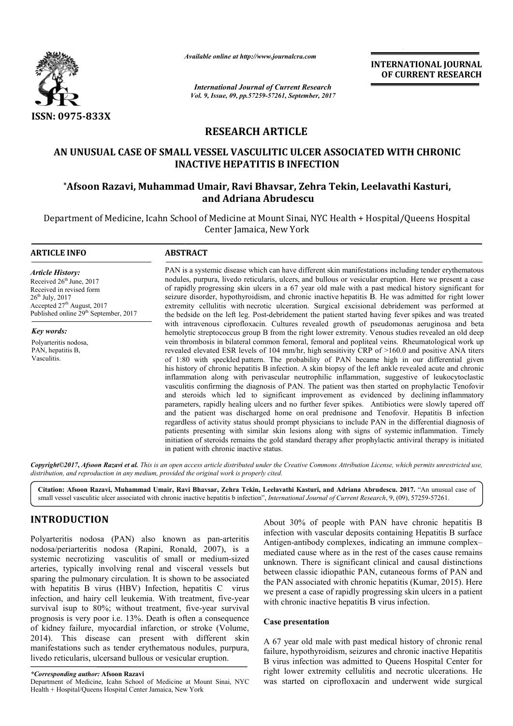

*Available online at http://www.journal http://www.journalcra.com*

*International Journal of Current Research Vol. 9, Issue, 09, pp.57259-57261, September, 2017* **INTERNATIONAL JOURNAL OF CURRENT RESEARCH** 

# **RESEARCH ARTICLE**

# **AN UNUSUAL CASE OF SMALL VESSEL VASCULITIC ULCER ASSOCIATED WITH CHRONIC INACTIVE HEPATITIS B INFECTION** AN UNUSUAL CASE OF SMALL VESSEL VASCULITIC ULCER ASSOCIATED WITH CHRON<br>INACTIVE HEPATITIS B INFECTION<br>Afsoon Razavi, Muhammad Umair, Ravi Bhavsar, Zehra Tekin, Leelavathi Kasturi,\*

# **\*Afsoon Razavi, Muhammad Umair, Ravi Bhavsar, Zehra Tekin, Leelavathi Afsoon and Adriana Abrudescu**

Department of Medicine, Icahn School of Medicine at Mount Sinai, NYC Health + Hospital/Queens Hospital Center Jamaica, New York

#### **ARTICLE INFO ABSTRACT**

*Article History:* Received  $26<sup>th</sup>$  June, 2017 Received in revised form 26th July, 2017 Accepted 27<sup>th</sup> August, 2017 Published online 29<sup>th</sup> September, 2017

*Key words:* Polyarteritis nodosa, PAN, hepatitis B, Vasculitis.

PAN is a systemic disease which can have different skin manifestations including tender erythematous nodules, purpura, livedo reticularis, ulcers, and bullous or vesicular eruption. Here we present a case of rapidly progressing skin ulcers in a 67 year old male with a past medical history significant for seizure disorder, hypothyroidism, and chronic inactive hepatitis B. He was admitted for right lower extremity cellulitis with necrotic ulceration. Surgical excisional debridement was performed at the bedside on the left leg. Post Post-debridement the patient started having fever with intravenous ciprofloxacin. Cultures revealed growth of pseudomonas aeruginosa and beta hemolytic streptococcus group B from the right lower extremity. Venous studies revealed an old deep vein thrombosis in bilateral common femoral, femoral and popliteal veins. Rheumatological work up vein thrombosis in bilateral common femoral, femoral and popliteal veins. revealed elevated ESR levels of 104 mm/hr, high sensitivity CRP of >160.0 and positive ANA titers of 1:80 with speckled pattern. The probability of PAN became high in our differential given revealed elevated ESR levels of 104 mm/hr, high sensitivity CRP of >160.0 and positive ANA titers of 1:80 with speckled pattern. The probability of PAN became high in our differential given his history of chronic hepatitis inflammation along with perivascular neutrophilic inflammation, suggestive of leukocytoclastic vasculitis confirming the diagnosis of PAN. The patient was then started on prophylactic Tenofovir inflammation along with perivascular neutrophilic inflammation, suggestive of leukocytoclastic vasculitis confirming the diagnosis of PAN. The patient was then started on prophylactic Tenofovir and steroids which led to si parameters, rapidly healing ulcers and no further fever spikes. Antibiotics were slowly tapered off and the patient was discharged home on oral prednisone and Tenofovir. Hepatitis B infection parameters, rapidly healing ulcers and no further fever spikes. Antibiotics were slowly tapered off and the patient was discharged home on oral prednisone and Tenofovir. Hepatitis B infection regardless of activity status patients presenting with similar skin lesions along with signs of systemic inflammation. Timely initiation of steroids remains the gold standard therapy after prophylactic antiviral therapy is initiated in patient with chronic inactive status. PAN is a systemic disease which can have different skin manifestations including tender erythematous nodules, purpura, livedo reticularis, ulcers, and bullous or vesicular eruption. Here we present a case of rapidly progre **INTERNATIONAL JOURNAL FORMATIONAL CONDUCT (Correct of the skinner) and the skin chronic isotical Correct of the skin chronic instant (16) (Specifical Correct of the skin chronic instant (16) (Specifical Correct of the sk** 

Copyright©2017, Afsoon Razavi et al. This is an open access article distributed under the Creative Commons Attribution License, which permits unrestricted use, *distribution, and reproduction in any medium, provided the original work is properly cited.*

Citation: Afsoon Razavi, Muhammad Umair, Ravi Bhavsar, Zehra Tekin, Leelavathi Kasturi, and Adriana Abrudescu. 2017. "An unusual case of small vessel vasculitic ulcer associated with chronic inactive hepatitis b infection", *International Journal of Current Research*, 9, (09), 57259-57261.

# **INTRODUCTION**

Polyarteritis nodosa (PAN) also known as pan-arteritis nodosa/periarteritis nodosa (Rapini, Ronald Rapini, Ronald, 2007), is a systemic necrotizing vasculitis of small or medium-sized arteries, typically involving renal and visceral vessels but sparing the pulmonary circulation. It is shown to be associated with hepatitis B virus (HBV) Infection, hepatitis C virus infection, and hairy cell leukemia. With treatment, five-year survival isup to 80%; without treatment, five-year survival prognosis is very poor i.e. 13%. Death is often a consequence of kidney failure, myocardial infarction, or stroke (Volume, 2014). This disease can present with different skin manifestations such as tender erythematous nodules, purpura, livedo reticularis, ulcersand bullous or vesicular eruption.

About 30% of people with PAN have chronic hepatitis B infection with vascular deposits containing Hepatitis B surface About 30% of people with PAN have chronic hepatitis B infection with vascular deposits containing Hepatitis B surface<br>Antigen-antibody complexes, indicating an immune complexmediated cause where as in the rest of the cases cause remains unknown. There is significant clinical and causal distinctions between classic idiopathic PAN, cutaneous forms of PAN and the PAN associated with chronic hepatitis (Kumar, 2015). Here we present a case of rapidly progressing skin ulcers in a patient with chronic inactive hepatitis B virus infection. ause where as in the rest of the cases cause remains<br>There is significant clinical and causal distinctions<br>assic idiopathic PAN, cutaneous forms of PAN and<br>ssociated with chronic hepatitis (Kumar, 2015). Here

#### **Case presentation**

A 67 year old male with past medical history of chronic renal failure, hypothyroidism, seizures and chronic inactive Hepatitis B virus infection was admitted to Queens Hospital Center for right lower extremity cellulitis and necrotic ulcerations. He was started on ciprofloxacin and underwent wide surgical

*<sup>\*</sup>Corresponding author:* **Afsoon Razavi**

Department of Medicine, Icahn School of Medicine at Mount Sinai, NYC Health + Hospital/Queens Hospital Center Jamaica, New York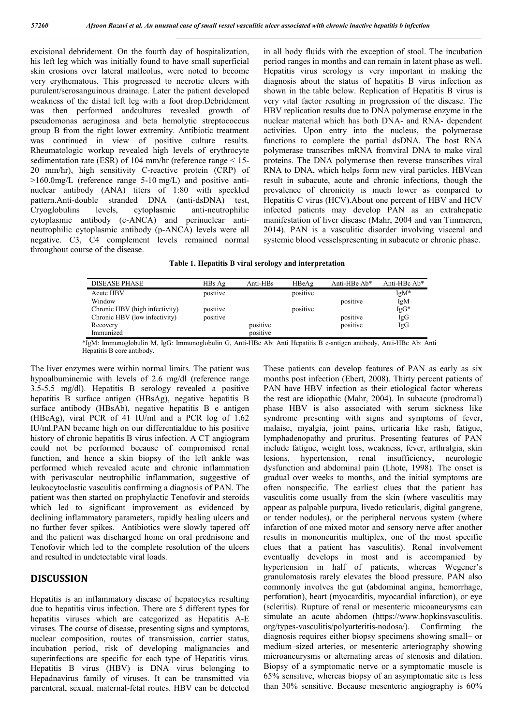excisional debridement. On the fourth day of hospitalization, his left leg which was initially found to have small superficial skin erosions over lateral malleolus, were noted to become very erythematous. This progressed to necrotic ulcers with purulent/serosanguinous drainage. Later the patient developed weakness of the distal left leg with a foot drop.Debridement was then performed andcultures revealed growth of pseudomonas aeruginosa and beta hemolytic streptococcus group B from the right lower extremity. Antibiotic treatment was continued in view of positive culture results. Rheumatologic workup revealed high levels of erythrocyte sedimentation rate (ESR) of 104 mm/hr (reference range < 15- 20 mm/hr), high sensitivity C-reactive protein (CRP) of >160.0mg/L (reference range 5-10 mg/L) and positive antinuclear antibody (ANA) titers of 1:80 with speckled pattern.Anti-double stranded DNA (anti-dsDNA) test, Cryoglobulins levels, cytoplasmic anti-neutrophilic cytoplasmic antibody (c-ANCA) and perinuclear antineutrophilic cytoplasmic antibody (p-ANCA) levels were all negative. C3, C4 complement levels remained normal throughout course of the disease.

in all body fluids with the exception of stool. The incubation period ranges in months and can remain in latent phase as well. Hepatitis virus serology is very important in making the diagnosis about the status of hepatitis B virus infection as shown in the table below. Replication of Hepatitis B virus is very vital factor resulting in progression of the disease. The HBV replication results due to DNA polymerase enzyme in the nuclear material which has both DNA- and RNA- dependent activities. Upon entry into the nucleus, the polymerase functions to complete the partial dsDNA. The host RNA polymerase transcribes mRNA fromviral DNA to make viral proteins. The DNA polymerase then reverse transcribes viral RNA to DNA, which helps form new viral particles. HBVcan result in subacute, acute and chronic infections, though the prevalence of chronicity is much lower as compared to Hepatitis C virus (HCV).About one percent of HBV and HCV infected patients may develop PAN as an extrahepatic manifestation of liver disease (Mahr, 2004 and van Timmeren, 2014). PAN is a vasculitic disorder involving visceral and systemic blood vesselspresenting in subacute or chronic phase.

|  |  |  |  |  | Table 1. Hepatitis B viral serology and interpretation |
|--|--|--|--|--|--------------------------------------------------------|
|--|--|--|--|--|--------------------------------------------------------|

| <b>DISEASE PHASE</b>           | HBs Ag   | Anti-HBs | HBeAg    | Anti-HBe Ab* | Anti-HBc Ab* |
|--------------------------------|----------|----------|----------|--------------|--------------|
| <b>Acute HBV</b>               | positive |          | positive |              | $IgM*$       |
| Window                         |          |          |          | positive     | IgM          |
| Chronic HBV (high infectivity) | positive |          | positive |              | IgG*         |
| Chronic HBV (low infectivity)  | positive |          |          | positive     | IgG          |
| Recovery                       |          | positive |          | positive     | IgG          |
| Immunized                      |          | positive |          |              |              |

\*IgM: Immunoglobulin M, IgG: Immunoglobulin G, Anti-HBe Ab: Anti Hepatitis B e-antigen antibody, Anti-HBc Ab: Anti Hepatitis B core antibody.

The liver enzymes were within normal limits. The patient was hypoalbuminemic with levels of 2.6 mg/dl (reference range 3.5-5.5 mg/dl). Hepatitis B serology revealed a positive hepatitis B surface antigen (HBsAg), negative hepatitis B surface antibody (HBsAb), negative hepatitis B e antigen (HBeAg), viral PCR of 41 IU/ml and a PCR log of 1.62 IU/ml.PAN became high on our differentialdue to his positive history of chronic hepatitis B virus infection. A CT angiogram could not be performed because of compromised renal function, and hence a skin biopsy of the left ankle was performed which revealed acute and chronic inflammation with perivascular neutrophilic inflammation, suggestive of leukocytoclastic vasculitis confirming a diagnosis of PAN. The patient was then started on prophylactic Tenofovir and steroids which led to significant improvement as evidenced by declining inflammatory parameters, rapidly healing ulcers and no further fever spikes. Antibiotics were slowly tapered off and the patient was discharged home on oral prednisone and Tenofovir which led to the complete resolution of the ulcers and resulted in undetectable viral loads.

## **DISCUSSION**

Hepatitis is an inflammatory disease of hepatocytes resulting due to hepatitis virus infection. There are 5 different types for hepatitis viruses which are categorized as Hepatitis A-E viruses. The course of disease, presenting signs and symptoms, nuclear composition, routes of transmission, carrier status, incubation period, risk of developing malignancies and superinfections are specific for each type of Hepatitis virus. Hepatitis B virus (HBV) is DNA virus belonging to Hepadnavirus family of viruses. It can be transmitted via parenteral, sexual, maternal-fetal routes. HBV can be detected These patients can develop features of PAN as early as six months post infection (Ebert, 2008). Thirty percent patients of PAN have HBV infection as their etiological factor whereas the rest are idiopathic (Mahr, 2004). In subacute (prodromal) phase HBV is also associated with serum sickness like syndrome presenting with signs and symptoms of fever, malaise, myalgia, joint pains, urticaria like rash, fatigue, lymphadenopathy and pruritus. Presenting features of PAN include fatigue, weight loss, weakness, fever, arthralgia, skin lesions, hypertension, renal insufficiency, neurologic dysfunction and abdominal pain (Lhote, 1998). The onset is gradual over weeks to months, and the initial symptoms are often nonspecific. The earliest clues that the patient has vasculitis come usually from the skin (where vasculitis may appear as palpable purpura, livedo reticularis, digital gangrene, or tender nodules), or the peripheral nervous system (where infarction of one mixed motor and sensory nerve after another results in mononeuritis multiplex, one of the most specific clues that a patient has vasculitis). Renal involvement eventually develops in most and is accompanied by hypertension in half of patients, whereas Wegener's granulomatosis rarely elevates the blood pressure. PAN also commonly involves the gut (abdominal angina, hemorrhage, perforation), heart (myocarditis, myocardial infarction), or eye (scleritis). Rupture of renal or mesenteric micoaneurysms can simulate an acute abdomen (https://www.hopkinsvasculitis. org/types-vasculitis/polyarteritis-nodosa/). Confirming the diagnosis requires either biopsy specimens showing small– or medium–sized arteries, or mesenteric arteriography showing microaneurysms or alternating areas of stenosis and dilation. Biopsy of a symptomatic nerve or a symptomatic muscle is 65% sensitive, whereas biopsy of an asymptomatic site is less than 30% sensitive. Because mesenteric angiography is 60%